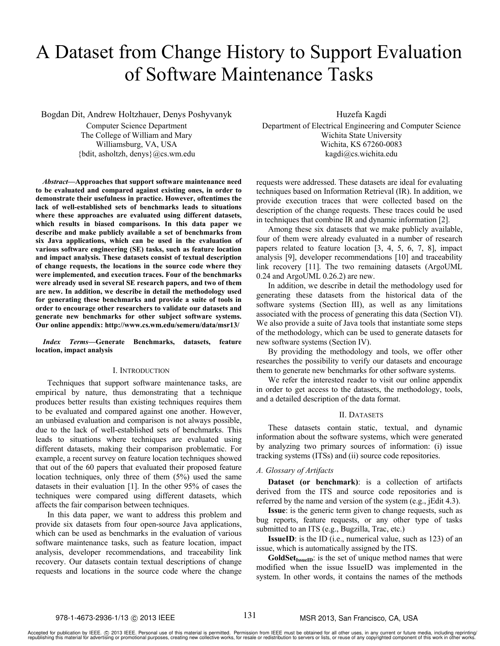# A Dataset from Change History to Support Evaluation of Software Maintenance Tasks

Bogdan Dit, Andrew Holtzhauer, Denys Poshyvanyk

Computer Science Department The College of William and Mary Williamsburg, VA, USA {bdit, asholtzh, denys}@cs.wm.edu

*Abstract***—Approaches that support software maintenance need to be evaluated and compared against existing ones, in order to demonstrate their usefulness in practice. However, oftentimes the lack of well-established sets of benchmarks leads to situations where these approaches are evaluated using different datasets, which results in biased comparisons. In this data paper we describe and make publicly available a set of benchmarks from six Java applications, which can be used in the evaluation of various software engineering (SE) tasks, such as feature location and impact analysis. These datasets consist of textual description of change requests, the locations in the source code where they were implemented, and execution traces. Four of the benchmarks were already used in several SE research papers, and two of them are new. In addition, we describe in detail the methodology used for generating these benchmarks and provide a suite of tools in order to encourage other researchers to validate our datasets and generate new benchmarks for other subject software systems. Our online appendix: http://www.cs.wm.edu/semeru/data/msr13/** 

*Index Terms***—Generate Benchmarks, datasets, feature location, impact analysis** 

#### I. INTRODUCTION

Techniques that support software maintenance tasks, are empirical by nature, thus demonstrating that a technique produces better results than existing techniques requires them to be evaluated and compared against one another. However, an unbiased evaluation and comparison is not always possible, due to the lack of well-established sets of benchmarks. This leads to situations where techniques are evaluated using different datasets, making their comparison problematic. For example, a recent survey on feature location techniques showed that out of the 60 papers that evaluated their proposed feature location techniques, only three of them (5%) used the same datasets in their evaluation [1]. In the other 95% of cases the techniques were compared using different datasets, which affects the fair comparison between techniques.

In this data paper, we want to address this problem and provide six datasets from four open-source Java applications, which can be used as benchmarks in the evaluation of various software maintenance tasks, such as feature location, impact analysis, developer recommendations, and traceability link recovery. Our datasets contain textual descriptions of change requests and locations in the source code where the change Huzefa Kagdi

Department of Electrical Engineering and Computer Science Wichita State University Wichita, KS 67260-0083 kagdi@cs.wichita.edu

requests were addressed. These datasets are ideal for evaluating techniques based on Information Retrieval (IR). In addition, we provide execution traces that were collected based on the description of the change requests. These traces could be used in techniques that combine IR and dynamic information [2].

Among these six datasets that we make publicly available, four of them were already evaluated in a number of research papers related to feature location [3, 4, 5, 6, 7, 8], impact analysis [9], developer recommendations [10] and traceability link recovery [11]. The two remaining datasets (ArgoUML 0.24 and ArgoUML 0.26.2) are new.

In addition, we describe in detail the methodology used for generating these datasets from the historical data of the software systems (Section III), as well as any limitations associated with the process of generating this data (Section VI). We also provide a suite of Java tools that instantiate some steps of the methodology, which can be used to generate datasets for new software systems (Section IV).

By providing the methodology and tools, we offer other researches the possibility to verify our datasets and encourage them to generate new benchmarks for other software systems.

We refer the interested reader to visit our online appendix in order to get access to the datasets, the methodology, tools, and a detailed description of the data format.

#### II. DATASETS

These datasets contain static, textual, and dynamic information about the software systems, which were generated by analyzing two primary sources of information: (i) issue tracking systems (ITSs) and (ii) source code repositories.

### *A. Glossary of Artifacts*

**Dataset (or benchmark)**: is a collection of artifacts derived from the ITS and source code repositories and is referred by the name and version of the system (e.g., jEdit 4.3).

**Issue**: is the generic term given to change requests, such as bug reports, feature requests, or any other type of tasks submitted to an ITS (e.g., Bugzilla, Trac, etc.)

**IssueID**: is the ID (i.e., numerical value, such as 123) of an issue, which is automatically assigned by the ITS.

GoldSet<sub>IssueID</sub>: is the set of unique method names that were modified when the issue IssueID was implemented in the system. In other words, it contains the names of the methods

131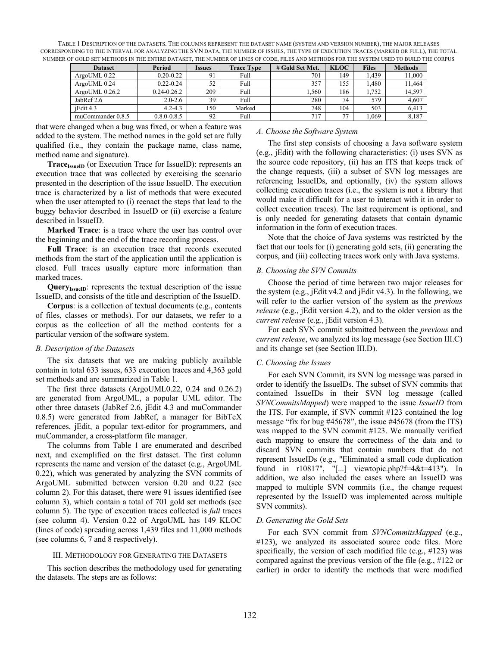TABLE 1 DESCRIPTION OF THE DATASETS. THE COLUMNS REPRESENT THE DATASET NAME (SYSTEM AND VERSION NUMBER), THE MAJOR RELEASES CORRESPONDING TO THE INTERVAL FOR ANALYZING THE SVN DATA, THE NUMBER OF ISSUES, THE TYPE OF EXECUTION TRACES (MARKED OR FULL), THE TOTAL NUMBER OF GOLD SET METHODS IN THE ENTIRE DATASET, THE NUMBER OF LINES OF CODE, FILES AND METHODS FOR THE SYSTEM USED TO BUILD THE CORPUS

| <b>Dataset</b>    | Period          | <i><u><b>Issues</b></u></i> | <b>Trace Type</b> | # Gold Set Met. | <b>KLOC</b> | <b>Files</b> | <b>Methods</b> |
|-------------------|-----------------|-----------------------------|-------------------|-----------------|-------------|--------------|----------------|
| ArgoUML $0.22$    | $0.20 - 0.22$   | 91                          | Full              | 701             | 149         | 1.439        | 11.000         |
| ArgoUML 0.24      | $0.22 - 0.24$   | 52                          | Full              | 357             | 155         | .480         | 11.464         |
| ArgoUML 0.26.2    | $0.24 - 0.26.2$ | 209                         | Full              | .560            | 186         | .752         | 14.597         |
| JabRef 2.6        | $2.0 - 2.6$     | 39                          | Full              | 280             | 74          | 579          | 4.607          |
| iEdit 4.3         | $4.2 - 4.3$     | 150                         | Marked            | 748             | 104         | 503          | 6.413          |
| muCommander 0.8.5 | $0.8.0 - 0.8.5$ | 92                          | Full              | 717             | 77          | 1.069        | 8.187          |

that were changed when a bug was fixed, or when a feature was added to the system. The method names in the gold set are fully qualified (i.e., they contain the package name, class name, method name and signature).

**Trace<sub>IssueID</sub>** (or Execution Trace for IssueID): represents an execution trace that was collected by exercising the scenario presented in the description of the issue IssueID. The execution trace is characterized by a list of methods that were executed when the user attempted to (i) reenact the steps that lead to the buggy behavior described in IssueID or (ii) exercise a feature described in IssueID.

**Marked Trace**: is a trace where the user has control over the beginning and the end of the trace recording process.

**Full Trace**: is an execution trace that records executed methods from the start of the application until the application is closed. Full traces usually capture more information than marked traces.

**Query<sub>IssueID</sub>**: represents the textual description of the issue IssueID, and consists of the title and description of the IssueID.

**Corpus**: is a collection of textual documents (e.g., contents of files, classes or methods). For our datasets, we refer to a corpus as the collection of all the method contents for a particular version of the software system.

## *B. Description of the Datasets*

The six datasets that we are making publicly available contain in total 633 issues, 633 execution traces and 4,363 gold set methods and are summarized in Table 1.

The first three datasets (ArgoUML0.22, 0.24 and 0.26.2) are generated from ArgoUML, a popular UML editor. The other three datasets (JabRef 2.6, jEdit 4.3 and muCommander 0.8.5) were generated from JabRef, a manager for BibTeX references, jEdit, a popular text-editor for programmers, and muCommander, a cross-platform file manager.

The columns from Table 1 are enumerated and described next, and exemplified on the first dataset. The first column represents the name and version of the dataset (e.g., ArgoUML 0.22), which was generated by analyzing the SVN commits of ArgoUML submitted between version 0.20 and 0.22 (see column 2). For this dataset, there were 91 issues identified (see column 3), which contain a total of 701 gold set methods (see column 5). The type of execution traces collected is *full* traces (see column 4). Version 0.22 of ArgoUML has 149 KLOC (lines of code) spreading across 1,439 files and 11,000 methods (see columns 6, 7 and 8 respectively).

### III. METHODOLOGY FOR GENERATING THE DATASETS

This section describes the methodology used for generating the datasets. The steps are as follows:

# *A. Choose the Software System*

The first step consists of choosing a Java software system (e.g., jEdit) with the following characteristics: (i) uses SVN as the source code repository, (ii) has an ITS that keeps track of the change requests, (iii) a subset of SVN log messages are referencing IssueIDs, and optionally, (iv) the system allows collecting execution traces (i.e., the system is not a library that would make it difficult for a user to interact with it in order to collect execution traces). The last requirement is optional, and is only needed for generating datasets that contain dynamic information in the form of execution traces.

Note that the choice of Java systems was restricted by the fact that our tools for (i) generating gold sets, (ii) generating the corpus, and (iii) collecting traces work only with Java systems.

## *B. Choosing the SVN Commits*

Choose the period of time between two major releases for the system (e.g., jEdit v4.2 and jEdit v4.3). In the following, we will refer to the earlier version of the system as the *previous release* (e.g., jEdit version 4.2), and to the older version as the *current release* (e.g., jEdit version 4.3).

For each SVN commit submitted between the *previous* and *current release*, we analyzed its log message (see Section III.C) and its change set (see Section III.D).

## *C. Choosing the Issues*

For each SVN Commit, its SVN log message was parsed in order to identify the IssueIDs. The subset of SVN commits that contained IssueIDs in their SVN log message (called *SVNCommitsMapped*) were mapped to the issue *IssueID* from the ITS. For example, if SVN commit #123 contained the log message "fix for bug #45678", the issue #45678 (from the ITS) was mapped to the SVN commit #123. We manually verified each mapping to ensure the correctness of the data and to discard SVN commits that contain numbers that do not represent IssueIDs (e.g., "Eliminated a small code duplication found in r10817", "[...] viewtopic.php?f=4&t=413"). In addition, we also included the cases where an IssueID was mapped to multiple SVN commits (i.e., the change request represented by the IssueID was implemented across multiple SVN commits).

## *D. Generating the Gold Sets*

For each SVN commit from *SVNCommitsMapped* (e.g., #123), we analyzed its associated source code files. More specifically, the version of each modified file (e.g.,  $\#123$ ) was compared against the previous version of the file (e.g., #122 or earlier) in order to identify the methods that were modified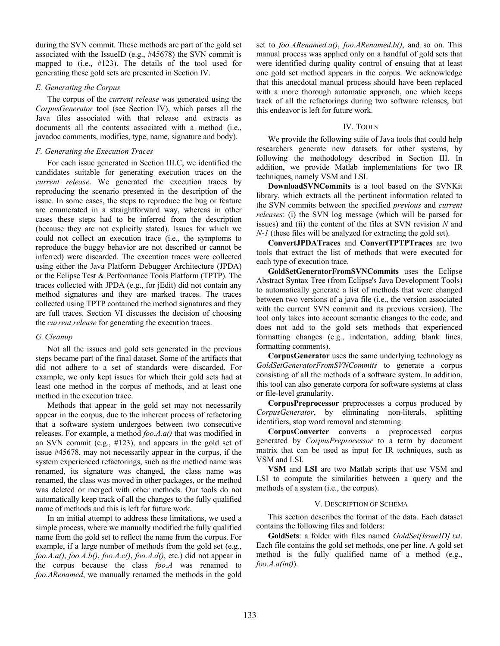during the SVN commit. These methods are part of the gold set associated with the IssueID (e.g., #45678) the SVN commit is mapped to (i.e., #123). The details of the tool used for generating these gold sets are presented in Section IV.

## *E. Generating the Corpus*

The corpus of the *current release* was generated using the *CorpusGenerator* tool (see Section IV), which parses all the Java files associated with that release and extracts as documents all the contents associated with a method (i.e., javadoc comments, modifies, type, name, signature and body).

# *F. Generating the Execution Traces*

For each issue generated in Section III.C, we identified the candidates suitable for generating execution traces on the *current release*. We generated the execution traces by reproducing the scenario presented in the description of the issue. In some cases, the steps to reproduce the bug or feature are enumerated in a straightforward way, whereas in other cases these steps had to be inferred from the description (because they are not explicitly stated). Issues for which we could not collect an execution trace (i.e., the symptoms to reproduce the buggy behavior are not described or cannot be inferred) were discarded. The execution traces were collected using either the Java Platform Debugger Architecture (JPDA) or the Eclipse Test & Performance Tools Platform (TPTP). The traces collected with JPDA (e.g., for jEdit) did not contain any method signatures and they are marked traces. The traces collected using TPTP contained the method signatures and they are full traces. Section VI discusses the decision of choosing the *current release* for generating the execution traces.

# *G.Cleanup*

Not all the issues and gold sets generated in the previous steps became part of the final dataset. Some of the artifacts that did not adhere to a set of standards were discarded. For example, we only kept issues for which their gold sets had at least one method in the corpus of methods, and at least one method in the execution trace.

Methods that appear in the gold set may not necessarily appear in the corpus, due to the inherent process of refactoring that a software system undergoes between two consecutive releases. For example, a method *foo.A.a()* that was modified in an SVN commit (e.g., #123), and appears in the gold set of issue #45678, may not necessarily appear in the corpus, if the system experienced refactorings, such as the method name was renamed, its signature was changed, the class name was renamed, the class was moved in other packages, or the method was deleted or merged with other methods. Our tools do not automatically keep track of all the changes to the fully qualified name of methods and this is left for future work.

In an initial attempt to address these limitations, we used a simple process, where we manually modified the fully qualified name from the gold set to reflect the name from the corpus. For example, if a large number of methods from the gold set (e.g., *foo.A.a()*, *foo.A.b()*, *foo.A.c()*, *foo.A.d()*, etc.) did not appear in the corpus because the class *foo.A* was renamed to *foo.ARenamed*, we manually renamed the methods in the gold set to *foo.ARenamed.a()*, *foo.ARenamed.b()*, and so on. This manual process was applied only on a handful of gold sets that were identified during quality control of ensuing that at least one gold set method appears in the corpus. We acknowledge that this anecdotal manual process should have been replaced with a more thorough automatic approach, one which keeps track of all the refactorings during two software releases, but this endeavor is left for future work.

# IV. TOOLS

We provide the following suite of Java tools that could help researchers generate new datasets for other systems, by following the methodology described in Section III. In addition, we provide Matlab implementations for two IR techniques, namely VSM and LSI.

**DownloadSVNCommits** is a tool based on the SVNKit library, which extracts all the pertinent information related to the SVN commits between the specified *previous* and *current releases*: (i) the SVN log message (which will be parsed for issues) and (ii) the content of the files at SVN revision *N* and *N-1* (these files will be analyzed for extracting the gold set).

**ConvertJPDATraces** and **ConvertTPTPTraces** are two tools that extract the list of methods that were executed for each type of execution trace.

**GoldSetGeneratorFromSVNCommits** uses the Eclipse Abstract Syntax Tree (from Eclipse's Java Development Tools) to automatically generate a list of methods that were changed between two versions of a java file (i.e., the version associated with the current SVN commit and its previous version). The tool only takes into account semantic changes to the code, and does not add to the gold sets methods that experienced formatting changes (e.g., indentation, adding blank lines, formatting comments).

**CorpusGenerator** uses the same underlying technology as *GoldSetGeneratorFromSVNCommits* to generate a corpus consisting of all the methods of a software system. In addition, this tool can also generate corpora for software systems at class or file-level granularity.

**CorpusPreprocessor** preprocesses a corpus produced by *CorpusGenerator*, by eliminating non-literals, splitting identifiers, stop word removal and stemming.

**CorpusConverter** converts a preprocessed corpus generated by *CorpusPreprocessor* to a term by document matrix that can be used as input for IR techniques, such as VSM and LSI.

**VSM** and **LSI** are two Matlab scripts that use VSM and LSI to compute the similarities between a query and the methods of a system (i.e., the corpus).

# V. DESCRIPTION OF SCHEMA

This section describes the format of the data. Each dataset contains the following files and folders:

**GoldSets**: a folder with files named *GoldSet[IssueID].txt*. Each file contains the gold set methods, one per line. A gold set method is the fully qualified name of a method (e.g., *foo.A.a(int)*).